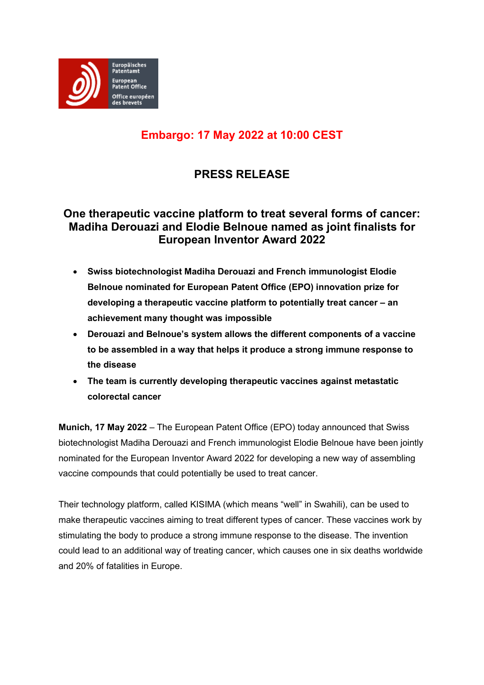

# **Embargo: 17 May 2022 at 10:00 CEST**

# **PRESS RELEASE**

## **One therapeutic vaccine platform to treat several forms of cancer: Madiha Derouazi and Elodie Belnoue named as joint finalists for European Inventor Award 2022**

- **Swiss biotechnologist Madiha Derouazi and French immunologist Elodie Belnoue nominated for European Patent Office (EPO) innovation prize for developing a therapeutic vaccine platform to potentially treat cancer – an achievement many thought was impossible**
- **Derouazi and Belnoue's system allows the different components of a vaccine to be assembled in a way that helps it produce a strong immune response to the disease**
- **The team is currently developing therapeutic vaccines against metastatic colorectal cancer**

**Munich, 17 May 2022** – The European Patent Office (EPO) today announced that Swiss biotechnologist Madiha Derouazi and French immunologist Elodie Belnoue have been jointly nominated for the European Inventor Award 2022 for developing a new way of assembling vaccine compounds that could potentially be used to treat cancer.

Their technology platform, called KISIMA (which means "well" in Swahili), can be used to make therapeutic vaccines aiming to treat different types of cancer. These vaccines work by stimulating the body to produce a strong immune response to the disease. The invention could lead to an additional way of treating cancer, which causes one in six deaths worldwide and 20% of fatalities in Europe.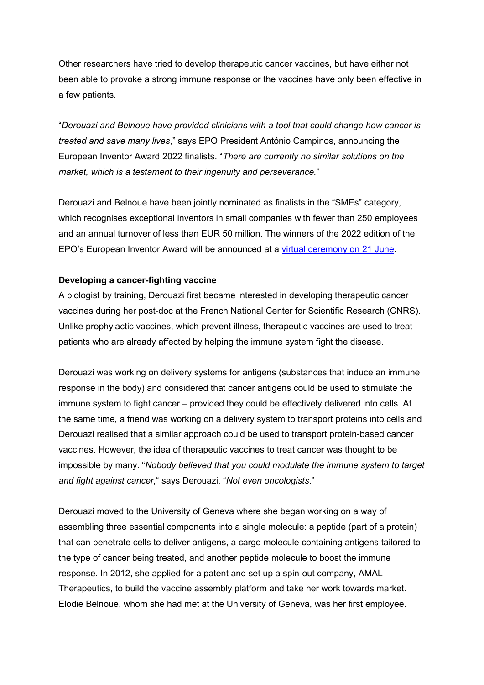Other researchers have tried to develop therapeutic cancer vaccines, but have either not been able to provoke a strong immune response or the vaccines have only been effective in a few patients.

"*Derouazi and Belnoue have provided clinicians with a tool that could change how cancer is treated and save many lives*," says EPO President António Campinos, announcing the European Inventor Award 2022 finalists. "*There are currently no similar solutions on the market, which is a testament to their ingenuity and perseverance.*"

Derouazi and Belnoue have been jointly nominated as finalists in the "SMEs" category, which recognises exceptional inventors in small companies with fewer than 250 employees and an annual turnover of less than EUR 50 million. The winners of the 2022 edition of the EPO's European Inventor Award will be announced at a [virtual ceremony on 21 June.](https://inventoraward.epo.org/index)

## **Developing a cancer-fighting vaccine**

A biologist by training, Derouazi first became interested in developing therapeutic cancer vaccines during her post-doc at the French National Center for Scientific Research (CNRS). Unlike prophylactic vaccines, which prevent illness, therapeutic vaccines are used to treat patients who are already affected by helping the immune system fight the disease.

Derouazi was working on delivery systems for antigens (substances that induce an immune response in the body) and considered that cancer antigens could be used to stimulate the immune system to fight cancer – provided they could be effectively delivered into cells. At the same time, a friend was working on a delivery system to transport proteins into cells and Derouazi realised that a similar approach could be used to transport protein-based cancer vaccines. However, the idea of therapeutic vaccines to treat cancer was thought to be impossible by many. "*Nobody believed that you could modulate the immune system to target and fight against cancer,*" says Derouazi. "*Not even oncologists*."

Derouazi moved to the University of Geneva where she began working on a way of assembling three essential components into a single molecule: a peptide (part of a protein) that can penetrate cells to deliver antigens, a cargo molecule containing antigens tailored to the type of cancer being treated, and another peptide molecule to boost the immune response. In 2012, she applied for a patent and set up a spin-out company, AMAL Therapeutics, to build the vaccine assembly platform and take her work towards market. Elodie Belnoue, whom she had met at the University of Geneva, was her first employee.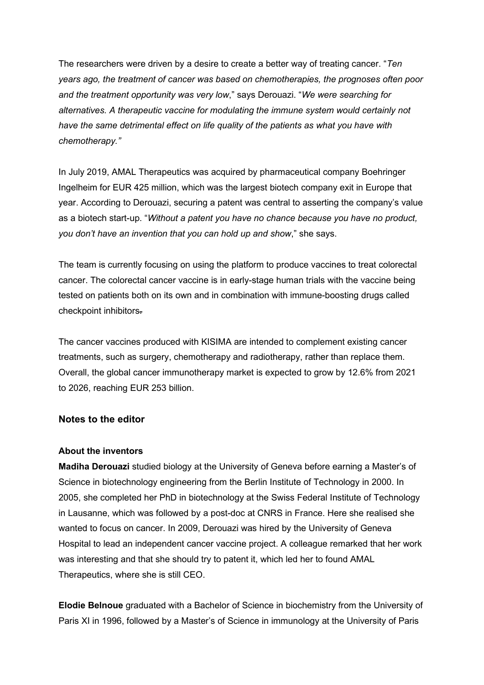The researchers were driven by a desire to create a better way of treating cancer. "*Ten years ago, the treatment of cancer was based on chemotherapies, the prognoses often poor and the treatment opportunity was very low*," says Derouazi. "*We were searching for alternatives. A therapeutic vaccine for modulating the immune system would certainly not have the same detrimental effect on life quality of the patients as what you have with chemotherapy."*

In July 2019, AMAL Therapeutics was acquired by pharmaceutical company Boehringer Ingelheim for EUR 425 million, which was the largest biotech company exit in Europe that year. According to Derouazi, securing a patent was central to asserting the company's value as a biotech start-up. "*Without a patent you have no chance because you have no product, you don't have an invention that you can hold up and show*," she says.

The team is currently focusing on using the platform to produce vaccines to treat colorectal cancer. The colorectal cancer vaccine is in early-stage human trials with the vaccine being tested on patients both on its own and in combination with immune-boosting drugs called checkpoint inhibitors.

The cancer vaccines produced with KISIMA are intended to complement existing cancer treatments, such as surgery, chemotherapy and radiotherapy, rather than replace them. Overall, the global cancer immunotherapy market is expected to grow by 12.6% from 2021 to 2026, reaching EUR 253 billion.

## **Notes to the editor**

### **About the inventors**

**Madiha Derouazi** studied biology at the University of Geneva before earning a Master's of Science in biotechnology engineering from the Berlin Institute of Technology in 2000. In 2005, she completed her PhD in biotechnology at the Swiss Federal Institute of Technology in Lausanne, which was followed by a post-doc at CNRS in France. Here she realised she wanted to focus on cancer. In 2009, Derouazi was hired by the University of Geneva Hospital to lead an independent cancer vaccine project. A colleague remarked that her work was interesting and that she should try to patent it, which led her to found AMAL Therapeutics, where she is still CEO.

**Elodie Belnoue** graduated with a Bachelor of Science in biochemistry from the University of Paris XI in 1996, followed by a Master's of Science in immunology at the University of Paris